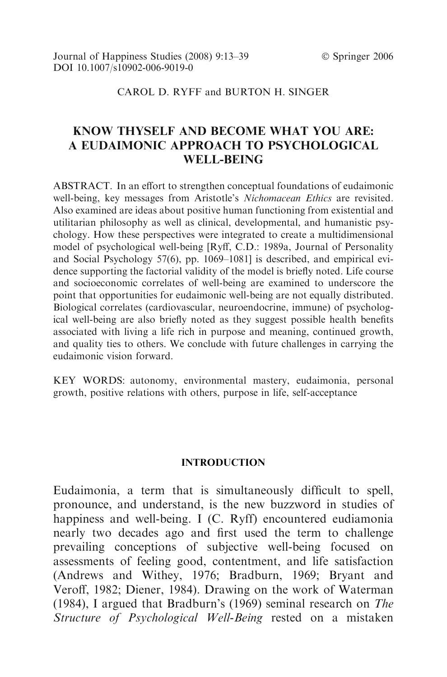### CAROL D. RYFF and BURTON H. SINGER

# KNOW THYSELF AND BECOME WHAT YOU ARE: A EUDAIMONIC APPROACH TO PSYCHOLOGICAL WELL-BEING

ABSTRACT. In an effort to strengthen conceptual foundations of eudaimonic well-being, key messages from Aristotle's Nichomacean Ethics are revisited. Also examined are ideas about positive human functioning from existential and utilitarian philosophy as well as clinical, developmental, and humanistic psychology. How these perspectives were integrated to create a multidimensional model of psychological well-being [Ryff, C.D.: 1989a, Journal of Personality and Social Psychology 57(6), pp. 1069–1081] is described, and empirical evidence supporting the factorial validity of the model is briefly noted. Life course and socioeconomic correlates of well-being are examined to underscore the point that opportunities for eudaimonic well-being are not equally distributed. Biological correlates (cardiovascular, neuroendocrine, immune) of psychological well-being are also briefly noted as they suggest possible health benefits associated with living a life rich in purpose and meaning, continued growth, and quality ties to others. We conclude with future challenges in carrying the eudaimonic vision forward.

KEY WORDS: autonomy, environmental mastery, eudaimonia, personal growth, positive relations with others, purpose in life, self-acceptance

#### INTRODUCTION

Eudaimonia, a term that is simultaneously difficult to spell, pronounce, and understand, is the new buzzword in studies of happiness and well-being. I (C. Ryff) encountered eudiamonia nearly two decades ago and first used the term to challenge prevailing conceptions of subjective well-being focused on assessments of feeling good, contentment, and life satisfaction (Andrews and Withey, 1976; Bradburn, 1969; Bryant and Veroff, 1982; Diener, 1984). Drawing on the work of Waterman (1984), I argued that Bradburn's (1969) seminal research on The Structure of Psychological Well-Being rested on a mistaken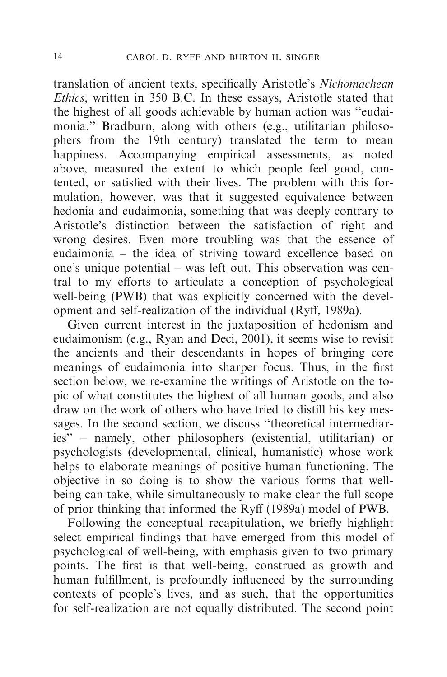translation of ancient texts, specifically Aristotle's Nichomachean Ethics, written in 350 B.C. In these essays, Aristotle stated that the highest of all goods achievable by human action was ''eudaimonia.'' Bradburn, along with others (e.g., utilitarian philosophers from the 19th century) translated the term to mean happiness. Accompanying empirical assessments, as noted above, measured the extent to which people feel good, contented, or satisfied with their lives. The problem with this formulation, however, was that it suggested equivalence between hedonia and eudaimonia, something that was deeply contrary to Aristotle's distinction between the satisfaction of right and wrong desires. Even more troubling was that the essence of eudaimonia – the idea of striving toward excellence based on one's unique potential – was left out. This observation was central to my efforts to articulate a conception of psychological well-being (PWB) that was explicitly concerned with the development and self-realization of the individual (Ryff, 1989a).

Given current interest in the juxtaposition of hedonism and eudaimonism (e.g., Ryan and Deci, 2001), it seems wise to revisit the ancients and their descendants in hopes of bringing core meanings of eudaimonia into sharper focus. Thus, in the first section below, we re-examine the writings of Aristotle on the topic of what constitutes the highest of all human goods, and also draw on the work of others who have tried to distill his key messages. In the second section, we discuss ''theoretical intermediaries'' – namely, other philosophers (existential, utilitarian) or psychologists (developmental, clinical, humanistic) whose work helps to elaborate meanings of positive human functioning. The objective in so doing is to show the various forms that wellbeing can take, while simultaneously to make clear the full scope of prior thinking that informed the Ryff (1989a) model of PWB.

Following the conceptual recapitulation, we briefly highlight select empirical findings that have emerged from this model of psychological of well-being, with emphasis given to two primary points. The first is that well-being, construed as growth and human fulfillment, is profoundly influenced by the surrounding contexts of people's lives, and as such, that the opportunities for self-realization are not equally distributed. The second point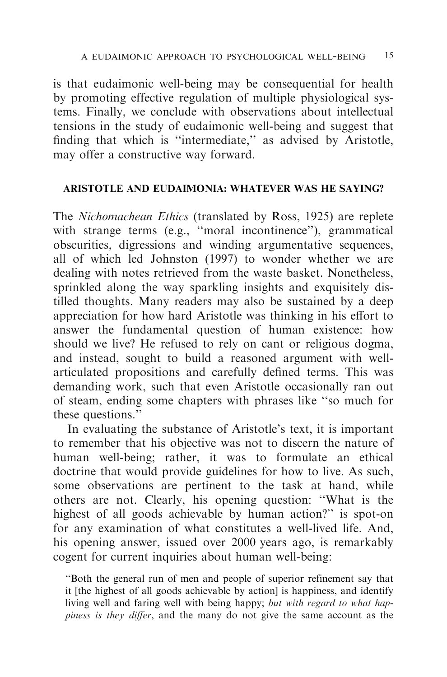is that eudaimonic well-being may be consequential for health by promoting effective regulation of multiple physiological systems. Finally, we conclude with observations about intellectual tensions in the study of eudaimonic well-being and suggest that finding that which is ''intermediate,'' as advised by Aristotle, may offer a constructive way forward.

### ARISTOTLE AND EUDAIMONIA: WHATEVER WAS HE SAYING?

The Nichomachean Ethics (translated by Ross, 1925) are replete with strange terms (e.g., "moral incontinence"), grammatical obscurities, digressions and winding argumentative sequences, all of which led Johnston (1997) to wonder whether we are dealing with notes retrieved from the waste basket. Nonetheless, sprinkled along the way sparkling insights and exquisitely distilled thoughts. Many readers may also be sustained by a deep appreciation for how hard Aristotle was thinking in his effort to answer the fundamental question of human existence: how should we live? He refused to rely on cant or religious dogma, and instead, sought to build a reasoned argument with wellarticulated propositions and carefully defined terms. This was demanding work, such that even Aristotle occasionally ran out of steam, ending some chapters with phrases like ''so much for these questions.''

In evaluating the substance of Aristotle's text, it is important to remember that his objective was not to discern the nature of human well-being; rather, it was to formulate an ethical doctrine that would provide guidelines for how to live. As such, some observations are pertinent to the task at hand, while others are not. Clearly, his opening question: ''What is the highest of all goods achievable by human action?'' is spot-on for any examination of what constitutes a well-lived life. And, his opening answer, issued over 2000 years ago, is remarkably cogent for current inquiries about human well-being:

''Both the general run of men and people of superior refinement say that it [the highest of all goods achievable by action] is happiness, and identify living well and faring well with being happy; but with regard to what happiness is they differ, and the many do not give the same account as the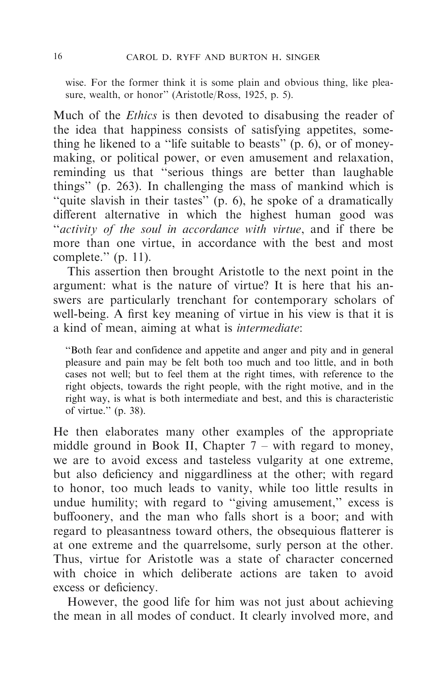wise. For the former think it is some plain and obvious thing, like pleasure, wealth, or honor'' (Aristotle/Ross, 1925, p. 5).

Much of the *Ethics* is then devoted to disabusing the reader of the idea that happiness consists of satisfying appetites, something he likened to a ''life suitable to beasts'' (p. 6), or of moneymaking, or political power, or even amusement and relaxation, reminding us that ''serious things are better than laughable things'' (p. 263). In challenging the mass of mankind which is ''quite slavish in their tastes'' (p. 6), he spoke of a dramatically different alternative in which the highest human good was ''activity of the soul in accordance with virtue, and if there be more than one virtue, in accordance with the best and most complete.'' (p. 11).

This assertion then brought Aristotle to the next point in the argument: what is the nature of virtue? It is here that his answers are particularly trenchant for contemporary scholars of well-being. A first key meaning of virtue in his view is that it is a kind of mean, aiming at what is intermediate:

''Both fear and confidence and appetite and anger and pity and in general pleasure and pain may be felt both too much and too little, and in both cases not well; but to feel them at the right times, with reference to the right objects, towards the right people, with the right motive, and in the right way, is what is both intermediate and best, and this is characteristic of virtue.'' (p. 38).

He then elaborates many other examples of the appropriate middle ground in Book II, Chapter  $7 -$  with regard to money, we are to avoid excess and tasteless vulgarity at one extreme, but also deficiency and niggardliness at the other; with regard to honor, too much leads to vanity, while too little results in undue humility; with regard to ''giving amusement,'' excess is buffoonery, and the man who falls short is a boor; and with regard to pleasantness toward others, the obsequious flatterer is at one extreme and the quarrelsome, surly person at the other. Thus, virtue for Aristotle was a state of character concerned with choice in which deliberate actions are taken to avoid excess or deficiency.

However, the good life for him was not just about achieving the mean in all modes of conduct. It clearly involved more, and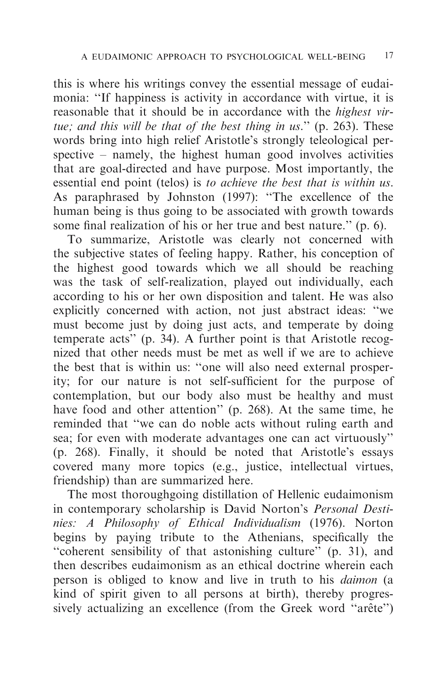this is where his writings convey the essential message of eudaimonia: ''If happiness is activity in accordance with virtue, it is reasonable that it should be in accordance with the highest virtue; and this will be that of the best thing in us." (p. 263). These words bring into high relief Aristotle's strongly teleological perspective – namely, the highest human good involves activities that are goal-directed and have purpose. Most importantly, the essential end point (telos) is to achieve the best that is within us. As paraphrased by Johnston (1997): ''The excellence of the human being is thus going to be associated with growth towards some final realization of his or her true and best nature.'' (p. 6).

To summarize, Aristotle was clearly not concerned with the subjective states of feeling happy. Rather, his conception of the highest good towards which we all should be reaching was the task of self-realization, played out individually, each according to his or her own disposition and talent. He was also explicitly concerned with action, not just abstract ideas: ''we must become just by doing just acts, and temperate by doing temperate acts'' (p. 34). A further point is that Aristotle recognized that other needs must be met as well if we are to achieve the best that is within us: ''one will also need external prosperity; for our nature is not self-sufficient for the purpose of contemplation, but our body also must be healthy and must have food and other attention'' (p. 268). At the same time, he reminded that ''we can do noble acts without ruling earth and sea; for even with moderate advantages one can act virtuously'' (p. 268). Finally, it should be noted that Aristotle's essays covered many more topics (e.g., justice, intellectual virtues, friendship) than are summarized here.

The most thoroughgoing distillation of Hellenic eudaimonism in contemporary scholarship is David Norton's Personal Destinies: A Philosophy of Ethical Individualism (1976). Norton begins by paying tribute to the Athenians, specifically the ''coherent sensibility of that astonishing culture'' (p. 31), and then describes eudaimonism as an ethical doctrine wherein each person is obliged to know and live in truth to his daimon (a kind of spirit given to all persons at birth), thereby progressively actualizing an excellence (from the Greek word "arête")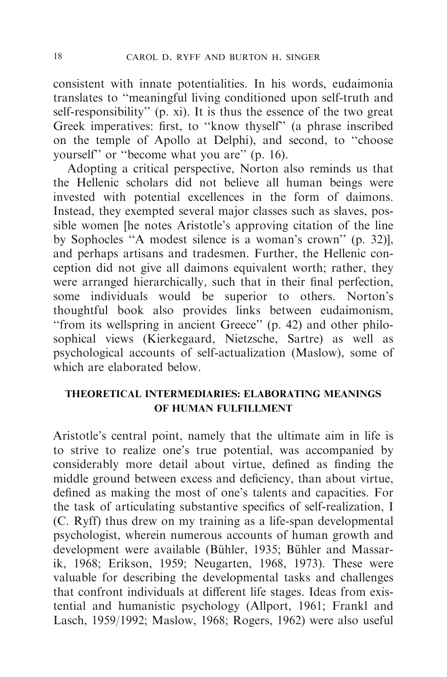consistent with innate potentialities. In his words, eudaimonia translates to ''meaningful living conditioned upon self-truth and self-responsibility'' (p. xi). It is thus the essence of the two great Greek imperatives: first, to ''know thyself'' (a phrase inscribed on the temple of Apollo at Delphi), and second, to ''choose yourself'' or ''become what you are'' (p. 16).

Adopting a critical perspective, Norton also reminds us that the Hellenic scholars did not believe all human beings were invested with potential excellences in the form of daimons. Instead, they exempted several major classes such as slaves, possible women [he notes Aristotle's approving citation of the line by Sophocles ''A modest silence is a woman's crown'' (p. 32)], and perhaps artisans and tradesmen. Further, the Hellenic conception did not give all daimons equivalent worth; rather, they were arranged hierarchically, such that in their final perfection, some individuals would be superior to others. Norton's thoughtful book also provides links between eudaimonism, ''from its wellspring in ancient Greece'' (p. 42) and other philosophical views (Kierkegaard, Nietzsche, Sartre) as well as psychological accounts of self-actualization (Maslow), some of which are elaborated below.

### THEORETICAL INTERMEDIARIES: ELABORATING MEANINGS OF HUMAN FULFILLMENT

Aristotle's central point, namely that the ultimate aim in life is to strive to realize one's true potential, was accompanied by considerably more detail about virtue, defined as finding the middle ground between excess and deficiency, than about virtue, defined as making the most of one's talents and capacities. For the task of articulating substantive specifics of self-realization, I (C. Ryff) thus drew on my training as a life-span developmental psychologist, wherein numerous accounts of human growth and development were available (Bühler, 1935; Bühler and Massarik, 1968; Erikson, 1959; Neugarten, 1968, 1973). These were valuable for describing the developmental tasks and challenges that confront individuals at different life stages. Ideas from existential and humanistic psychology (Allport, 1961; Frankl and Lasch, 1959/1992; Maslow, 1968; Rogers, 1962) were also useful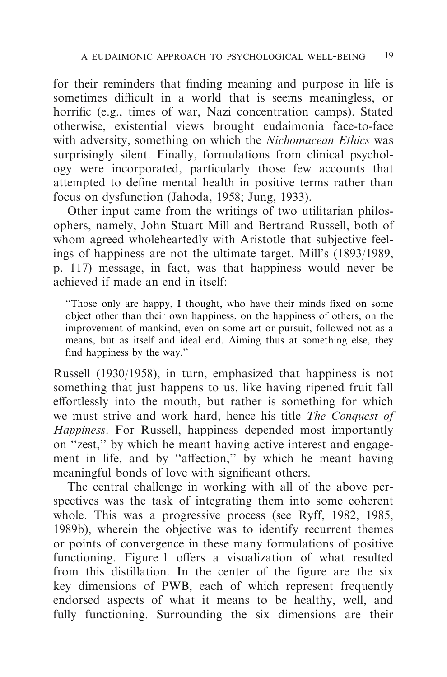for their reminders that finding meaning and purpose in life is sometimes difficult in a world that is seems meaningless, or horrific (e.g., times of war, Nazi concentration camps). Stated otherwise, existential views brought eudaimonia face-to-face with adversity, something on which the Nichomacean Ethics was surprisingly silent. Finally, formulations from clinical psychology were incorporated, particularly those few accounts that attempted to define mental health in positive terms rather than focus on dysfunction (Jahoda, 1958; Jung, 1933).

Other input came from the writings of two utilitarian philosophers, namely, John Stuart Mill and Bertrand Russell, both of whom agreed wholeheartedly with Aristotle that subjective feelings of happiness are not the ultimate target. Mill's (1893/1989, p. 117) message, in fact, was that happiness would never be achieved if made an end in itself:

''Those only are happy, I thought, who have their minds fixed on some object other than their own happiness, on the happiness of others, on the improvement of mankind, even on some art or pursuit, followed not as a means, but as itself and ideal end. Aiming thus at something else, they find happiness by the way.''

Russell (1930/1958), in turn, emphasized that happiness is not something that just happens to us, like having ripened fruit fall effortlessly into the mouth, but rather is something for which we must strive and work hard, hence his title The Conquest of Happiness. For Russell, happiness depended most importantly on ''zest,'' by which he meant having active interest and engagement in life, and by ''affection,'' by which he meant having meaningful bonds of love with significant others.

The central challenge in working with all of the above perspectives was the task of integrating them into some coherent whole. This was a progressive process (see Ryff, 1982, 1985, 1989b), wherein the objective was to identify recurrent themes or points of convergence in these many formulations of positive functioning. Figure 1 offers a visualization of what resulted from this distillation. In the center of the figure are the six key dimensions of PWB, each of which represent frequently endorsed aspects of what it means to be healthy, well, and fully functioning. Surrounding the six dimensions are their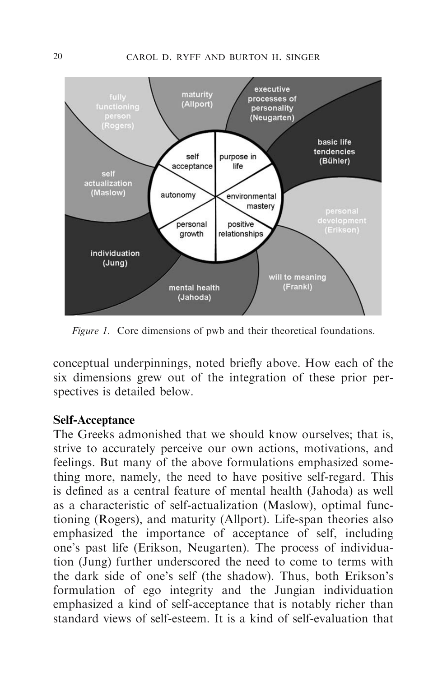

Figure 1. Core dimensions of pwb and their theoretical foundations.

conceptual underpinnings, noted briefly above. How each of the six dimensions grew out of the integration of these prior perspectives is detailed below.

# Self-Acceptance

The Greeks admonished that we should know ourselves; that is, strive to accurately perceive our own actions, motivations, and feelings. But many of the above formulations emphasized something more, namely, the need to have positive self-regard. This is defined as a central feature of mental health (Jahoda) as well as a characteristic of self-actualization (Maslow), optimal functioning (Rogers), and maturity (Allport). Life-span theories also emphasized the importance of acceptance of self, including one's past life (Erikson, Neugarten). The process of individuation (Jung) further underscored the need to come to terms with the dark side of one's self (the shadow). Thus, both Erikson's formulation of ego integrity and the Jungian individuation emphasized a kind of self-acceptance that is notably richer than standard views of self-esteem. It is a kind of self-evaluation that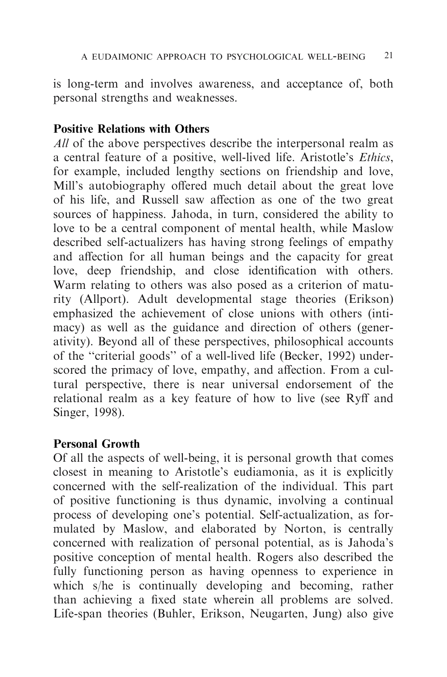is long-term and involves awareness, and acceptance of, both personal strengths and weaknesses.

# Positive Relations with Others

All of the above perspectives describe the interpersonal realm as a central feature of a positive, well-lived life. Aristotle's Ethics, for example, included lengthy sections on friendship and love, Mill's autobiography offered much detail about the great love of his life, and Russell saw affection as one of the two great sources of happiness. Jahoda, in turn, considered the ability to love to be a central component of mental health, while Maslow described self-actualizers has having strong feelings of empathy and affection for all human beings and the capacity for great love, deep friendship, and close identification with others. Warm relating to others was also posed as a criterion of maturity (Allport). Adult developmental stage theories (Erikson) emphasized the achievement of close unions with others (intimacy) as well as the guidance and direction of others (generativity). Beyond all of these perspectives, philosophical accounts of the ''criterial goods'' of a well-lived life (Becker, 1992) underscored the primacy of love, empathy, and affection. From a cultural perspective, there is near universal endorsement of the relational realm as a key feature of how to live (see Ryff and Singer, 1998).

# Personal Growth

Of all the aspects of well-being, it is personal growth that comes closest in meaning to Aristotle's eudiamonia, as it is explicitly concerned with the self-realization of the individual. This part of positive functioning is thus dynamic, involving a continual process of developing one's potential. Self-actualization, as formulated by Maslow, and elaborated by Norton, is centrally concerned with realization of personal potential, as is Jahoda's positive conception of mental health. Rogers also described the fully functioning person as having openness to experience in which s/he is continually developing and becoming, rather than achieving a fixed state wherein all problems are solved. Life-span theories (Buhler, Erikson, Neugarten, Jung) also give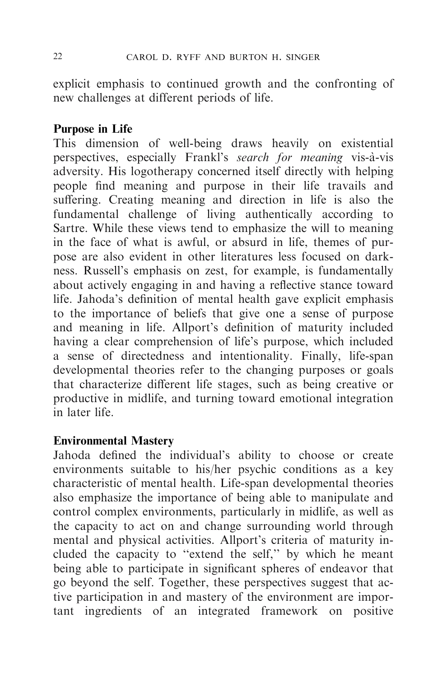explicit emphasis to continued growth and the confronting of new challenges at different periods of life.

# Purpose in Life

This dimension of well-being draws heavily on existential perspectives, especially Frankl's search for meaning vis-à-vis adversity. His logotherapy concerned itself directly with helping people find meaning and purpose in their life travails and suffering. Creating meaning and direction in life is also the fundamental challenge of living authentically according to Sartre. While these views tend to emphasize the will to meaning in the face of what is awful, or absurd in life, themes of purpose are also evident in other literatures less focused on darkness. Russell's emphasis on zest, for example, is fundamentally about actively engaging in and having a reflective stance toward life. Jahoda's definition of mental health gave explicit emphasis to the importance of beliefs that give one a sense of purpose and meaning in life. Allport's definition of maturity included having a clear comprehension of life's purpose, which included a sense of directedness and intentionality. Finally, life-span developmental theories refer to the changing purposes or goals that characterize different life stages, such as being creative or productive in midlife, and turning toward emotional integration in later life.

# Environmental Mastery

Jahoda defined the individual's ability to choose or create environments suitable to his/her psychic conditions as a key characteristic of mental health. Life-span developmental theories also emphasize the importance of being able to manipulate and control complex environments, particularly in midlife, as well as the capacity to act on and change surrounding world through mental and physical activities. Allport's criteria of maturity included the capacity to ''extend the self,'' by which he meant being able to participate in significant spheres of endeavor that go beyond the self. Together, these perspectives suggest that active participation in and mastery of the environment are important ingredients of an integrated framework on positive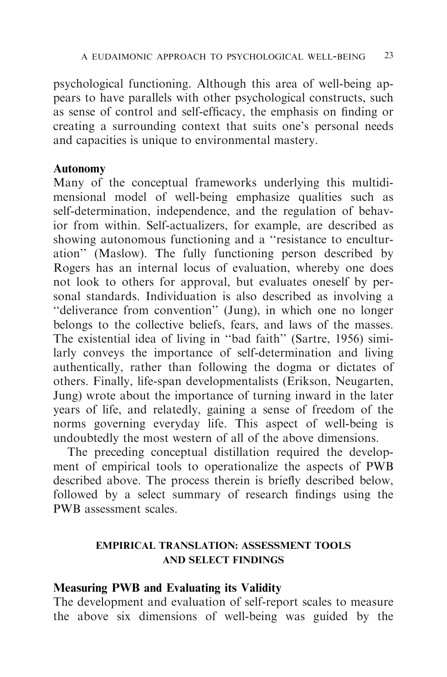psychological functioning. Although this area of well-being appears to have parallels with other psychological constructs, such as sense of control and self-efficacy, the emphasis on finding or creating a surrounding context that suits one's personal needs and capacities is unique to environmental mastery.

### Autonomy

Many of the conceptual frameworks underlying this multidimensional model of well-being emphasize qualities such as self-determination, independence, and the regulation of behavior from within. Self-actualizers, for example, are described as showing autonomous functioning and a ''resistance to enculturation'' (Maslow). The fully functioning person described by Rogers has an internal locus of evaluation, whereby one does not look to others for approval, but evaluates oneself by personal standards. Individuation is also described as involving a ''deliverance from convention'' (Jung), in which one no longer belongs to the collective beliefs, fears, and laws of the masses. The existential idea of living in ''bad faith'' (Sartre, 1956) similarly conveys the importance of self-determination and living authentically, rather than following the dogma or dictates of others. Finally, life-span developmentalists (Erikson, Neugarten, Jung) wrote about the importance of turning inward in the later years of life, and relatedly, gaining a sense of freedom of the norms governing everyday life. This aspect of well-being is undoubtedly the most western of all of the above dimensions.

The preceding conceptual distillation required the development of empirical tools to operationalize the aspects of PWB described above. The process therein is briefly described below, followed by a select summary of research findings using the PWB assessment scales.

# EMPIRICAL TRANSLATION: ASSESSMENT TOOLS AND SELECT FINDINGS

# Measuring PWB and Evaluating its Validity

The development and evaluation of self-report scales to measure the above six dimensions of well-being was guided by the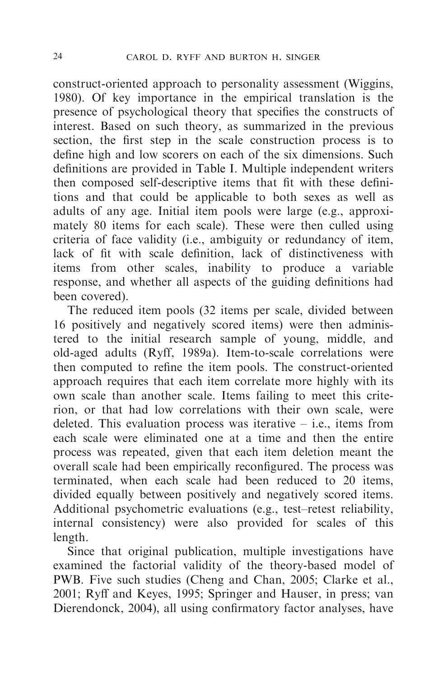construct-oriented approach to personality assessment (Wiggins, 1980). Of key importance in the empirical translation is the presence of psychological theory that specifies the constructs of interest. Based on such theory, as summarized in the previous section, the first step in the scale construction process is to define high and low scorers on each of the six dimensions. Such definitions are provided in Table I. Multiple independent writers then composed self-descriptive items that fit with these definitions and that could be applicable to both sexes as well as adults of any age. Initial item pools were large (e.g., approximately 80 items for each scale). These were then culled using criteria of face validity (i.e., ambiguity or redundancy of item, lack of fit with scale definition, lack of distinctiveness with items from other scales, inability to produce a variable response, and whether all aspects of the guiding definitions had been covered).

The reduced item pools (32 items per scale, divided between 16 positively and negatively scored items) were then administered to the initial research sample of young, middle, and old-aged adults (Ryff, 1989a). Item-to-scale correlations were then computed to refine the item pools. The construct-oriented approach requires that each item correlate more highly with its own scale than another scale. Items failing to meet this criterion, or that had low correlations with their own scale, were deleted. This evaluation process was iterative  $-$  i.e., items from each scale were eliminated one at a time and then the entire process was repeated, given that each item deletion meant the overall scale had been empirically reconfigured. The process was terminated, when each scale had been reduced to 20 items, divided equally between positively and negatively scored items. Additional psychometric evaluations (e.g., test–retest reliability, internal consistency) were also provided for scales of this length.

Since that original publication, multiple investigations have examined the factorial validity of the theory-based model of PWB. Five such studies (Cheng and Chan, 2005; Clarke et al., 2001; Ryff and Keyes, 1995; Springer and Hauser, in press; van Dierendonck, 2004), all using confirmatory factor analyses, have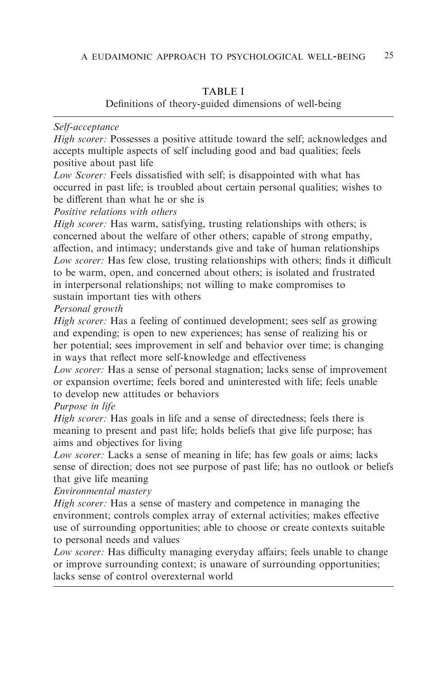### TABLE I

### Definitions of theory-guided dimensions of well-being

### Self-acceptance

High scorer: Possesses a positive attitude toward the self; acknowledges and accepts multiple aspects of self including good and bad qualities; feels positive about past life

Low Scorer: Feels dissatisfied with self; is disappointed with what has occurred in past life; is troubled about certain personal qualities; wishes to be different than what he or she is

Positive relations with others

High scorer: Has warm, satisfying, trusting relationships with others; is concerned about the welfare of other others; capable of strong empathy, affection, and intimacy; understands give and take of human relationships Low scorer: Has few close, trusting relationships with others; finds it difficult to be warm, open, and concerned about others; is isolated and frustrated in interpersonal relationships; not willing to make compromises to sustain important ties with others

### Personal growth

High scorer: Has a feeling of continued development; sees self as growing and expending; is open to new experiences; has sense of realizing his or her potential; sees improvement in self and behavior over time; is changing in ways that reflect more self-knowledge and effectiveness

Low scorer: Has a sense of personal stagnation; lacks sense of improvement or expansion overtime; feels bored and uninterested with life; feels unable to develop new attitudes or behaviors

### Purpose in life

High scorer: Has goals in life and a sense of directedness; feels there is meaning to present and past life; holds beliefs that give life purpose; has aims and objectives for living

Low scorer: Lacks a sense of meaning in life; has few goals or aims; lacks sense of direction; does not see purpose of past life; has no outlook or beliefs that give life meaning

#### Environmental mastery

High scorer: Has a sense of mastery and competence in managing the environment; controls complex array of external activities; makes effective use of surrounding opportunities; able to choose or create contexts suitable to personal needs and values

Low scorer: Has difficulty managing everyday affairs; feels unable to change or improve surrounding context; is unaware of surrounding opportunities; lacks sense of control overexternal world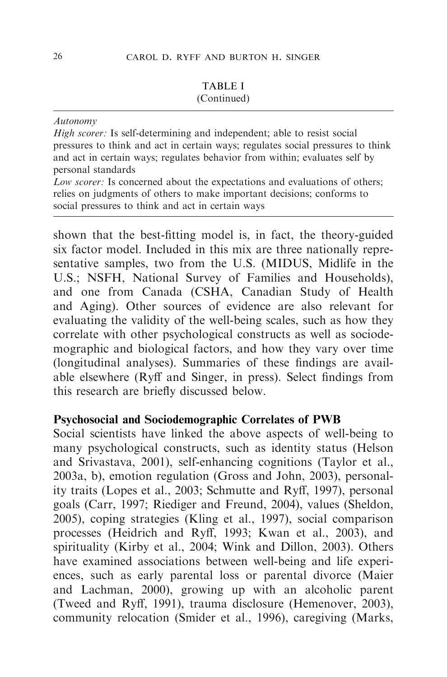### TABLE I

#### (Continued)

#### Autonomy

High scorer: Is self-determining and independent; able to resist social pressures to think and act in certain ways; regulates social pressures to think and act in certain ways; regulates behavior from within; evaluates self by personal standards

Low scorer: Is concerned about the expectations and evaluations of others; relies on judgments of others to make important decisions; conforms to social pressures to think and act in certain ways

shown that the best-fitting model is, in fact, the theory-guided six factor model. Included in this mix are three nationally representative samples, two from the U.S. (MIDUS, Midlife in the U.S.; NSFH, National Survey of Families and Households), and one from Canada (CSHA, Canadian Study of Health and Aging). Other sources of evidence are also relevant for evaluating the validity of the well-being scales, such as how they correlate with other psychological constructs as well as sociodemographic and biological factors, and how they vary over time (longitudinal analyses). Summaries of these findings are available elsewhere (Ryff and Singer, in press). Select findings from this research are briefly discussed below.

### Psychosocial and Sociodemographic Correlates of PWB

Social scientists have linked the above aspects of well-being to many psychological constructs, such as identity status (Helson and Srivastava, 2001), self-enhancing cognitions (Taylor et al., 2003a, b), emotion regulation (Gross and John, 2003), personality traits (Lopes et al., 2003; Schmutte and Ryff, 1997), personal goals (Carr, 1997; Riediger and Freund, 2004), values (Sheldon, 2005), coping strategies (Kling et al., 1997), social comparison processes (Heidrich and Ryff, 1993; Kwan et al., 2003), and spirituality (Kirby et al., 2004; Wink and Dillon, 2003). Others have examined associations between well-being and life experiences, such as early parental loss or parental divorce (Maier and Lachman, 2000), growing up with an alcoholic parent (Tweed and Ryff, 1991), trauma disclosure (Hemenover, 2003), community relocation (Smider et al., 1996), caregiving (Marks,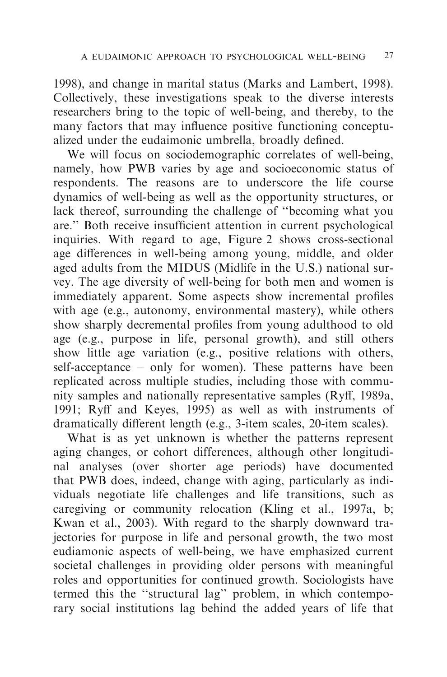1998), and change in marital status (Marks and Lambert, 1998). Collectively, these investigations speak to the diverse interests researchers bring to the topic of well-being, and thereby, to the many factors that may influence positive functioning conceptualized under the eudaimonic umbrella, broadly defined.

We will focus on sociodemographic correlates of well-being, namely, how PWB varies by age and socioeconomic status of respondents. The reasons are to underscore the life course dynamics of well-being as well as the opportunity structures, or lack thereof, surrounding the challenge of ''becoming what you are.'' Both receive insufficient attention in current psychological inquiries. With regard to age, Figure 2 shows cross-sectional age differences in well-being among young, middle, and older aged adults from the MIDUS (Midlife in the U.S.) national survey. The age diversity of well-being for both men and women is immediately apparent. Some aspects show incremental profiles with age (e.g., autonomy, environmental mastery), while others show sharply decremental profiles from young adulthood to old age (e.g., purpose in life, personal growth), and still others show little age variation (e.g., positive relations with others, self-acceptance – only for women). These patterns have been replicated across multiple studies, including those with community samples and nationally representative samples (Ryff, 1989a, 1991; Ryff and Keyes, 1995) as well as with instruments of dramatically different length (e.g., 3-item scales, 20-item scales).

What is as yet unknown is whether the patterns represent aging changes, or cohort differences, although other longitudinal analyses (over shorter age periods) have documented that PWB does, indeed, change with aging, particularly as individuals negotiate life challenges and life transitions, such as caregiving or community relocation (Kling et al., 1997a, b; Kwan et al., 2003). With regard to the sharply downward trajectories for purpose in life and personal growth, the two most eudiamonic aspects of well-being, we have emphasized current societal challenges in providing older persons with meaningful roles and opportunities for continued growth. Sociologists have termed this the ''structural lag'' problem, in which contemporary social institutions lag behind the added years of life that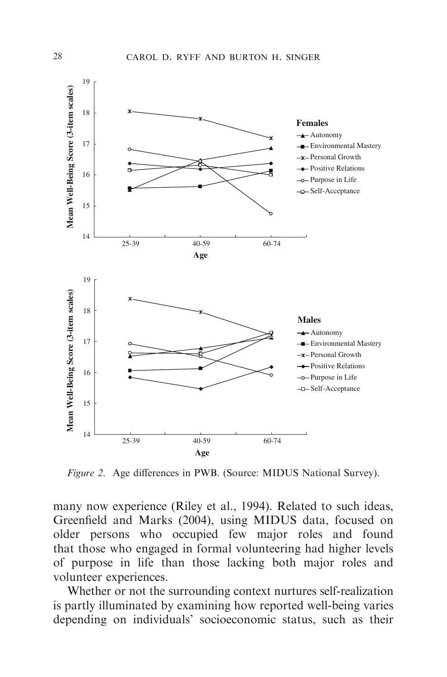

Figure 2. Age differences in PWB. (Source: MIDUS National Survey).

many now experience (Riley et al., 1994). Related to such ideas, Greenfield and Marks (2004), using MIDUS data, focused on older persons who occupied few major roles and found that those who engaged in formal volunteering had higher levels of purpose in life than those lacking both major roles and volunteer experiences.

Whether or not the surrounding context nurtures self-realization is partly illuminated by examining how reported well-being varies depending on individuals' socioeconomic status, such as their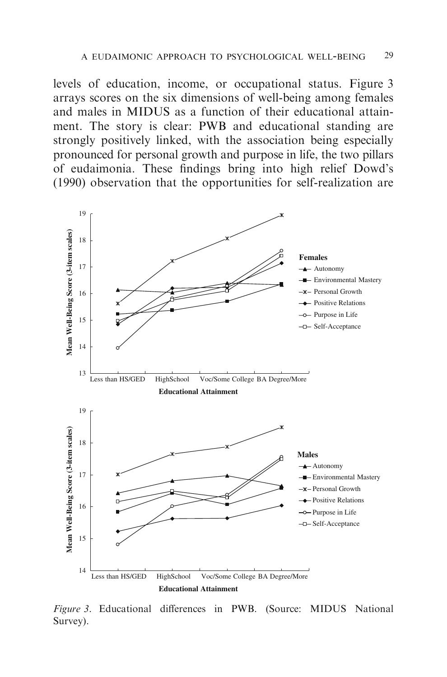levels of education, income, or occupational status. Figure 3 arrays scores on the six dimensions of well-being among females and males in MIDUS as a function of their educational attainment. The story is clear: PWB and educational standing are strongly positively linked, with the association being especially pronounced for personal growth and purpose in life, the two pillars of eudaimonia. These findings bring into high relief Dowd's (1990) observation that the opportunities for self-realization are



Figure 3. Educational differences in PWB. (Source: MIDUS National Survey).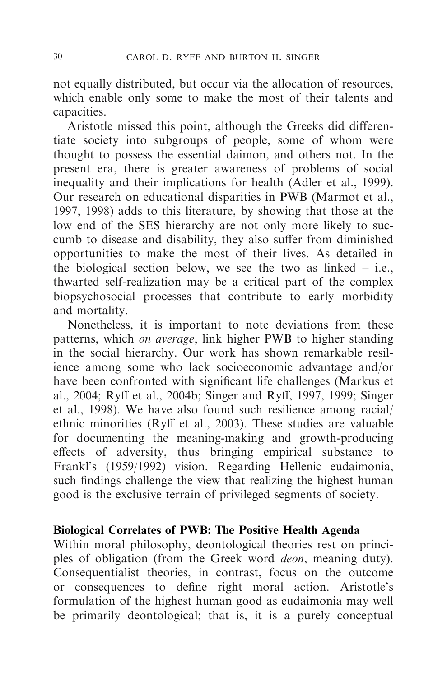not equally distributed, but occur via the allocation of resources, which enable only some to make the most of their talents and capacities.

Aristotle missed this point, although the Greeks did differentiate society into subgroups of people, some of whom were thought to possess the essential daimon, and others not. In the present era, there is greater awareness of problems of social inequality and their implications for health (Adler et al., 1999). Our research on educational disparities in PWB (Marmot et al., 1997, 1998) adds to this literature, by showing that those at the low end of the SES hierarchy are not only more likely to succumb to disease and disability, they also suffer from diminished opportunities to make the most of their lives. As detailed in the biological section below, we see the two as linked  $-$  i.e., thwarted self-realization may be a critical part of the complex biopsychosocial processes that contribute to early morbidity and mortality.

Nonetheless, it is important to note deviations from these patterns, which on average, link higher PWB to higher standing in the social hierarchy. Our work has shown remarkable resilience among some who lack socioeconomic advantage and/or have been confronted with significant life challenges (Markus et al., 2004; Ryff et al., 2004b; Singer and Ryff, 1997, 1999; Singer et al., 1998). We have also found such resilience among racial/ ethnic minorities (Ryff et al., 2003). These studies are valuable for documenting the meaning-making and growth-producing effects of adversity, thus bringing empirical substance to Frankl's (1959/1992) vision. Regarding Hellenic eudaimonia, such findings challenge the view that realizing the highest human good is the exclusive terrain of privileged segments of society.

# Biological Correlates of PWB: The Positive Health Agenda

Within moral philosophy, deontological theories rest on principles of obligation (from the Greek word deon, meaning duty). Consequentialist theories, in contrast, focus on the outcome or consequences to define right moral action. Aristotle's formulation of the highest human good as eudaimonia may well be primarily deontological; that is, it is a purely conceptual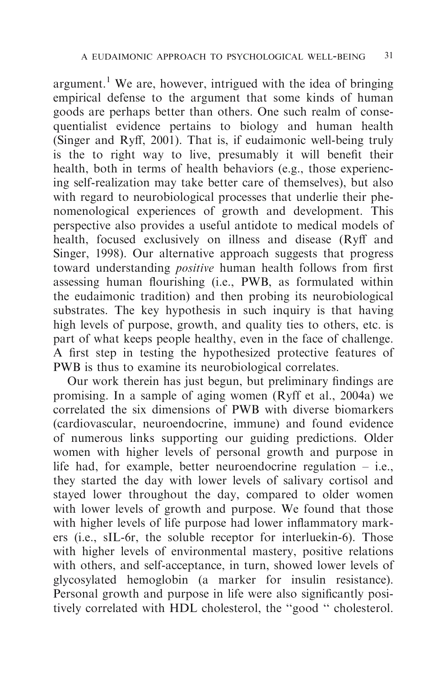argument.<sup>1</sup> We are, however, intrigued with the idea of bringing empirical defense to the argument that some kinds of human goods are perhaps better than others. One such realm of consequentialist evidence pertains to biology and human health (Singer and Ryff, 2001). That is, if eudaimonic well-being truly is the to right way to live, presumably it will benefit their health, both in terms of health behaviors (e.g., those experiencing self-realization may take better care of themselves), but also with regard to neurobiological processes that underlie their phenomenological experiences of growth and development. This perspective also provides a useful antidote to medical models of health, focused exclusively on illness and disease (Ryff and Singer, 1998). Our alternative approach suggests that progress toward understanding *positive* human health follows from first assessing human flourishing (i.e., PWB, as formulated within the eudaimonic tradition) and then probing its neurobiological substrates. The key hypothesis in such inquiry is that having high levels of purpose, growth, and quality ties to others, etc. is part of what keeps people healthy, even in the face of challenge. A first step in testing the hypothesized protective features of PWB is thus to examine its neurobiological correlates.

Our work therein has just begun, but preliminary findings are promising. In a sample of aging women (Ryff et al., 2004a) we correlated the six dimensions of PWB with diverse biomarkers (cardiovascular, neuroendocrine, immune) and found evidence of numerous links supporting our guiding predictions. Older women with higher levels of personal growth and purpose in life had, for example, better neuroendocrine regulation  $-$  i.e., they started the day with lower levels of salivary cortisol and stayed lower throughout the day, compared to older women with lower levels of growth and purpose. We found that those with higher levels of life purpose had lower inflammatory markers (i.e., sIL-6r, the soluble receptor for interluekin-6). Those with higher levels of environmental mastery, positive relations with others, and self-acceptance, in turn, showed lower levels of glycosylated hemoglobin (a marker for insulin resistance). Personal growth and purpose in life were also significantly positively correlated with HDL cholesterol, the ''good '' cholesterol.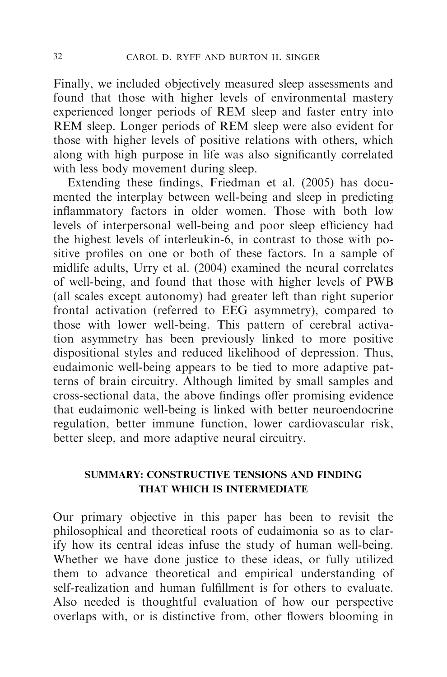Finally, we included objectively measured sleep assessments and found that those with higher levels of environmental mastery experienced longer periods of REM sleep and faster entry into REM sleep. Longer periods of REM sleep were also evident for those with higher levels of positive relations with others, which along with high purpose in life was also significantly correlated with less body movement during sleep.

Extending these findings, Friedman et al. (2005) has documented the interplay between well-being and sleep in predicting inflammatory factors in older women. Those with both low levels of interpersonal well-being and poor sleep efficiency had the highest levels of interleukin-6, in contrast to those with positive profiles on one or both of these factors. In a sample of midlife adults, Urry et al. (2004) examined the neural correlates of well-being, and found that those with higher levels of PWB (all scales except autonomy) had greater left than right superior frontal activation (referred to EEG asymmetry), compared to those with lower well-being. This pattern of cerebral activation asymmetry has been previously linked to more positive dispositional styles and reduced likelihood of depression. Thus, eudaimonic well-being appears to be tied to more adaptive patterns of brain circuitry. Although limited by small samples and cross-sectional data, the above findings offer promising evidence that eudaimonic well-being is linked with better neuroendocrine regulation, better immune function, lower cardiovascular risk, better sleep, and more adaptive neural circuitry.

### SUMMARY: CONSTRUCTIVE TENSIONS AND FINDING THAT WHICH IS INTERMEDIATE

Our primary objective in this paper has been to revisit the philosophical and theoretical roots of eudaimonia so as to clarify how its central ideas infuse the study of human well-being. Whether we have done justice to these ideas, or fully utilized them to advance theoretical and empirical understanding of self-realization and human fulfillment is for others to evaluate. Also needed is thoughtful evaluation of how our perspective overlaps with, or is distinctive from, other flowers blooming in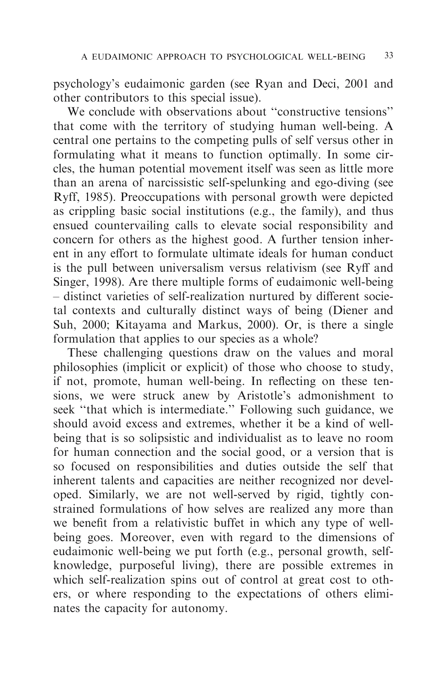psychology's eudaimonic garden (see Ryan and Deci, 2001 and other contributors to this special issue).

We conclude with observations about "constructive tensions" that come with the territory of studying human well-being. A central one pertains to the competing pulls of self versus other in formulating what it means to function optimally. In some circles, the human potential movement itself was seen as little more than an arena of narcissistic self-spelunking and ego-diving (see Ryff, 1985). Preoccupations with personal growth were depicted as crippling basic social institutions (e.g., the family), and thus ensued countervailing calls to elevate social responsibility and concern for others as the highest good. A further tension inherent in any effort to formulate ultimate ideals for human conduct is the pull between universalism versus relativism (see Ryff and Singer, 1998). Are there multiple forms of eudaimonic well-being – distinct varieties of self-realization nurtured by different societal contexts and culturally distinct ways of being (Diener and Suh, 2000; Kitayama and Markus, 2000). Or, is there a single formulation that applies to our species as a whole?

These challenging questions draw on the values and moral philosophies (implicit or explicit) of those who choose to study, if not, promote, human well-being. In reflecting on these tensions, we were struck anew by Aristotle's admonishment to seek ''that which is intermediate.'' Following such guidance, we should avoid excess and extremes, whether it be a kind of wellbeing that is so solipsistic and individualist as to leave no room for human connection and the social good, or a version that is so focused on responsibilities and duties outside the self that inherent talents and capacities are neither recognized nor developed. Similarly, we are not well-served by rigid, tightly constrained formulations of how selves are realized any more than we benefit from a relativistic buffet in which any type of wellbeing goes. Moreover, even with regard to the dimensions of eudaimonic well-being we put forth (e.g., personal growth, selfknowledge, purposeful living), there are possible extremes in which self-realization spins out of control at great cost to others, or where responding to the expectations of others eliminates the capacity for autonomy.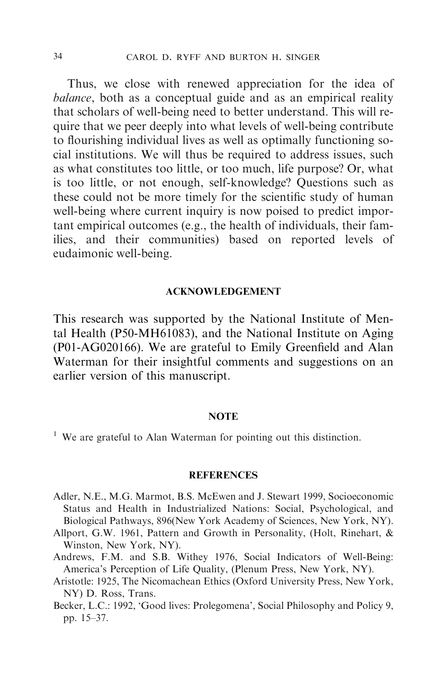Thus, we close with renewed appreciation for the idea of balance, both as a conceptual guide and as an empirical reality that scholars of well-being need to better understand. This will require that we peer deeply into what levels of well-being contribute to flourishing individual lives as well as optimally functioning social institutions. We will thus be required to address issues, such as what constitutes too little, or too much, life purpose? Or, what is too little, or not enough, self-knowledge? Questions such as these could not be more timely for the scientific study of human well-being where current inquiry is now poised to predict important empirical outcomes (e.g., the health of individuals, their families, and their communities) based on reported levels of eudaimonic well-being.

#### ACKNOWLEDGEMENT

This research was supported by the National Institute of Mental Health (P50-MH61083), and the National Institute on Aging (P01-AG020166). We are grateful to Emily Greenfield and Alan Waterman for their insightful comments and suggestions on an earlier version of this manuscript.

#### **NOTE**

<sup>1</sup> We are grateful to Alan Waterman for pointing out this distinction.

#### **REFERENCES**

- Adler, N.E., M.G. Marmot, B.S. McEwen and J. Stewart 1999, Socioeconomic Status and Health in Industrialized Nations: Social, Psychological, and Biological Pathways, 896(New York Academy of Sciences, New York, NY).
- Allport, G.W. 1961, Pattern and Growth in Personality, (Holt, Rinehart, & Winston, New York, NY).
- Andrews, F.M. and S.B. Withey 1976, Social Indicators of Well-Being: America's Perception of Life Quality, (Plenum Press, New York, NY).
- Aristotle: 1925, The Nicomachean Ethics (Oxford University Press, New York, NY) D. Ross, Trans.
- Becker, L.C.: 1992, 'Good lives: Prolegomena', Social Philosophy and Policy 9, pp. 15–37.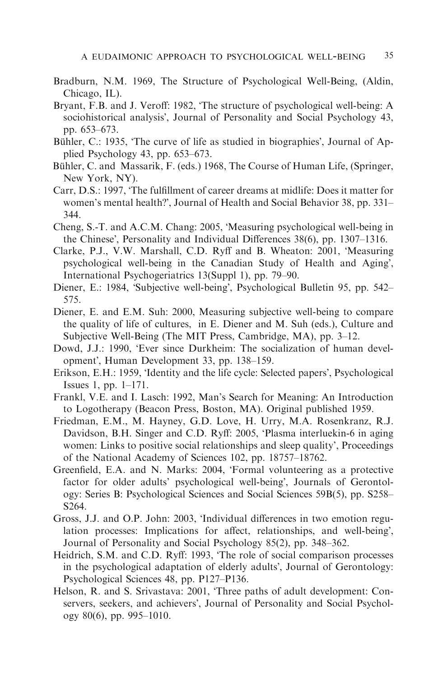- Bradburn, N.M. 1969, The Structure of Psychological Well-Being, (Aldin, Chicago, IL).
- Bryant, F.B. and J. Veroff: 1982, The structure of psychological well-being: A sociohistorical analysis', Journal of Personality and Social Psychology 43, pp. 653–673.
- Bühler, C.: 1935, 'The curve of life as studied in biographies', Journal of Applied Psychology 43, pp. 653–673.
- Bühler, C. and Massarik, F. (eds.) 1968, The Course of Human Life, (Springer, New York, NY).
- Carr, D.S.: 1997, The fulfillment of career dreams at midlife: Does it matter for women's mental health?', Journal of Health and Social Behavior 38, pp. 331– 344.
- Cheng, S.-T. and A.C.M. Chang: 2005, Measuring psychological well-being in the Chinese', Personality and Individual Differences 38(6), pp. 1307–1316.
- Clarke, P.J., V.W. Marshall, C.D. Ryff and B. Wheaton: 2001, Measuring psychological well-being in the Canadian Study of Health and Aging', International Psychogeriatrics 13(Suppl 1), pp. 79–90.
- Diener, E.: 1984, 'Subjective well-being', Psychological Bulletin 95, pp. 542– 575.
- Diener, E. and E.M. Suh: 2000, Measuring subjective well-being to compare the quality of life of cultures, in E. Diener and M. Suh (eds.), Culture and Subjective Well-Being (The MIT Press, Cambridge, MA), pp. 3–12.
- Dowd, J.J.: 1990, Ever since Durkheim: The socialization of human development-, Human Development 33, pp. 138–159.
- Erikson, E.H.: 1959, 'Identity and the life cycle: Selected papers', Psychological Issues 1, pp. 1–171.
- Frankl, V.E. and I. Lasch: 1992, Man's Search for Meaning: An Introduction to Logotherapy (Beacon Press, Boston, MA). Original published 1959.
- Friedman, E.M., M. Hayney, G.D. Love, H. Urry, M.A. Rosenkranz, R.J. Davidson, B.H. Singer and C.D. Ryff: 2005, 'Plasma interluekin-6 in aging women: Links to positive social relationships and sleep quality', Proceedings of the National Academy of Sciences 102, pp. 18757–18762.
- Greenfield, E.A. and N. Marks: 2004, Formal volunteering as a protective factor for older adults' psychological well-being', Journals of Gerontology: Series B: Psychological Sciences and Social Sciences 59B(5), pp. S258– S264.
- Gross, J.J. and O.P. John: 2003, Individual differences in two emotion regulation processes: Implications for affect, relationships, and well-being', Journal of Personality and Social Psychology 85(2), pp. 348–362.
- Heidrich, S.M. and C.D. Ryff: 1993, The role of social comparison processes in the psychological adaptation of elderly adults', Journal of Gerontology: Psychological Sciences 48, pp. P127–P136.
- Helson, R. and S. Srivastava: 2001, Three paths of adult development: Conservers, seekers, and achievers', Journal of Personality and Social Psychology 80(6), pp. 995–1010.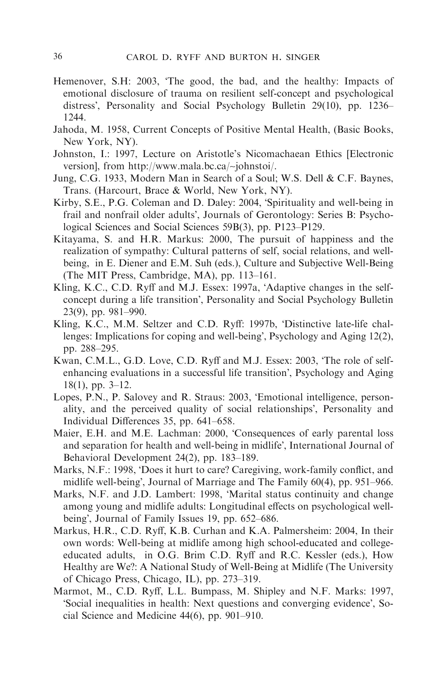- Hemenover, S.H: 2003, The good, the bad, and the healthy: Impacts of emotional disclosure of trauma on resilient self-concept and psychological distress', Personality and Social Psychology Bulletin 29(10), pp. 1236– 1244.
- Jahoda, M. 1958, Current Concepts of Positive Mental Health, (Basic Books, New York, NY).
- Johnston, I.: 1997, Lecture on Aristotle's Nicomachaean Ethics [Electronic version], from http://www.mala.bc.ca/~johnstoi/.
- Jung, C.G. 1933, Modern Man in Search of a Soul; W.S. Dell & C.F. Baynes, Trans. (Harcourt, Brace & World, New York, NY).
- Kirby, S.E., P.G. Coleman and D. Daley: 2004, Spirituality and well-being in frail and nonfrail older adults', Journals of Gerontology: Series B: Psychological Sciences and Social Sciences 59B(3), pp. P123–P129.
- Kitayama, S. and H.R. Markus: 2000, The pursuit of happiness and the realization of sympathy: Cultural patterns of self, social relations, and wellbeing, in E. Diener and E.M. Suh (eds.), Culture and Subjective Well-Being (The MIT Press, Cambridge, MA), pp. 113–161.
- Kling, K.C., C.D. Ryff and M.J. Essex: 1997a, 'Adaptive changes in the selfconcept during a life transition', Personality and Social Psychology Bulletin 23(9), pp. 981–990.
- Kling, K.C., M.M. Seltzer and C.D. Ryff: 1997b, 'Distinctive late-life challenges: Implications for coping and well-being', Psychology and Aging 12(2), pp. 288–295.
- Kwan, C.M.L., G.D. Love, C.D. Ryff and M.J. Essex: 2003, The role of selfenhancing evaluations in a successful life transition', Psychology and Aging 18(1), pp. 3–12.
- Lopes, P.N., P. Salovey and R. Straus: 2003, Emotional intelligence, personality, and the perceived quality of social relationships', Personality and Individual Differences 35, pp. 641–658.
- Maier, E.H. and M.E. Lachman: 2000, Consequences of early parental loss and separation for health and well-being in midlife', International Journal of Behavioral Development 24(2), pp. 183–189.
- Marks, N.F.: 1998, 'Does it hurt to care? Caregiving, work-family conflict, and midlife well-being', Journal of Marriage and The Family 60(4), pp. 951–966.
- Marks, N.F. and J.D. Lambert: 1998, Marital status continuity and change among young and midlife adults: Longitudinal effects on psychological wellbeing', Journal of Family Issues 19, pp. 652–686.
- Markus, H.R., C.D. Ryff, K.B. Curhan and K.A. Palmersheim: 2004, In their own words: Well-being at midlife among high school-educated and collegeeducated adults, in O.G. Brim C.D. Ryff and R.C. Kessler (eds.), How Healthy are We?: A National Study of Well-Being at Midlife (The University of Chicago Press, Chicago, IL), pp. 273–319.
- Marmot, M., C.D. Ryff, L.L. Bumpass, M. Shipley and N.F. Marks: 1997, 'Social inequalities in health: Next questions and converging evidence', Social Science and Medicine 44(6), pp. 901–910.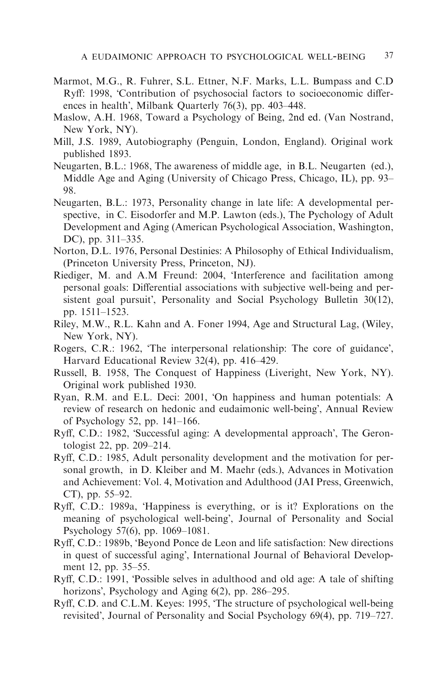- Marmot, M.G., R. Fuhrer, S.L. Ettner, N.F. Marks, L.L. Bumpass and C.D Ryff: 1998, Contribution of psychosocial factors to socioeconomic differences in health', Milbank Quarterly 76(3), pp. 403–448.
- Maslow, A.H. 1968, Toward a Psychology of Being, 2nd ed. (Van Nostrand, New York, NY).
- Mill, J.S. 1989, Autobiography (Penguin, London, England). Original work published 1893.
- Neugarten, B.L.: 1968, The awareness of middle age, in B.L. Neugarten (ed.), Middle Age and Aging (University of Chicago Press, Chicago, IL), pp. 93– 98.
- Neugarten, B.L.: 1973, Personality change in late life: A developmental perspective, in C. Eisodorfer and M.P. Lawton (eds.), The Pychology of Adult Development and Aging (American Psychological Association, Washington, DC), pp. 311–335.
- Norton, D.L. 1976, Personal Destinies: A Philosophy of Ethical Individualism, (Princeton University Press, Princeton, NJ).
- Riediger, M. and A.M Freund: 2004, Interference and facilitation among personal goals: Differential associations with subjective well-being and persistent goal pursuit', Personality and Social Psychology Bulletin 30(12), pp. 1511–1523.
- Riley, M.W., R.L. Kahn and A. Foner 1994, Age and Structural Lag, (Wiley, New York, NY).
- Rogers, C.R.: 1962, 'The interpersonal relationship: The core of guidance', Harvard Educational Review 32(4), pp. 416–429.
- Russell, B. 1958, The Conquest of Happiness (Liveright, New York, NY). Original work published 1930.
- Ryan, R.M. and E.L. Deci: 2001, On happiness and human potentials: A review of research on hedonic and eudaimonic well-being', Annual Review of Psychology 52, pp. 141–166.
- Ryff, C.D.: 1982, 'Successful aging: A developmental approach', The Gerontologist 22, pp. 209–214.
- Ryff, C.D.: 1985, Adult personality development and the motivation for personal growth, in D. Kleiber and M. Maehr (eds.), Advances in Motivation and Achievement: Vol. 4, Motivation and Adulthood (JAI Press, Greenwich, CT), pp. 55–92.
- Ryff, C.D.: 1989a, Happiness is everything, or is it? Explorations on the meaning of psychological well-being', Journal of Personality and Social Psychology 57(6), pp. 1069–1081.
- Ryff, C.D.: 1989b, Beyond Ponce de Leon and life satisfaction: New directions in quest of successful aging', International Journal of Behavioral Development 12, pp. 35–55.
- Ryff, C.D.: 1991, Possible selves in adulthood and old age: A tale of shifting horizons', Psychology and Aging 6(2), pp. 286–295.
- Ryff, C.D. and C.L.M. Keyes: 1995, The structure of psychological well-being revisited', Journal of Personality and Social Psychology 69(4), pp. 719–727.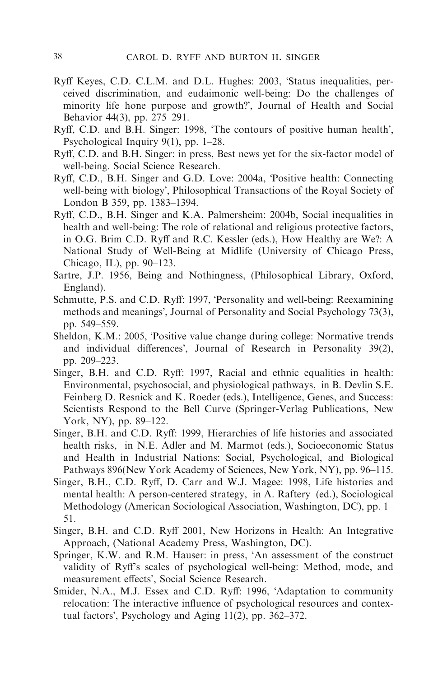- Ryff Keyes, C.D. C.L.M. and D.L. Hughes: 2003, Status inequalities, perceived discrimination, and eudaimonic well-being: Do the challenges of minority life hone purpose and growth?', Journal of Health and Social Behavior 44(3), pp. 275–291.
- Ryff, C.D. and B.H. Singer: 1998, 'The contours of positive human health', Psychological Inquiry 9(1), pp. 1–28.
- Ryff, C.D. and B.H. Singer: in press, Best news yet for the six-factor model of well-being. Social Science Research.
- Ryff, C.D., B.H. Singer and G.D. Love: 2004a, Positive health: Connecting well-being with biology', Philosophical Transactions of the Royal Society of London B 359, pp. 1383–1394.
- Ryff, C.D., B.H. Singer and K.A. Palmersheim: 2004b, Social inequalities in health and well-being: The role of relational and religious protective factors, in O.G. Brim C.D. Ryff and R.C. Kessler (eds.), How Healthy are We?: A National Study of Well-Being at Midlife (University of Chicago Press, Chicago, IL), pp. 90–123.
- Sartre, J.P. 1956, Being and Nothingness, (Philosophical Library, Oxford, England).
- Schmutte, P.S. and C.D. Ryff: 1997, 'Personality and well-being: Reexamining methods and meanings', Journal of Personality and Social Psychology 73(3), pp. 549–559.
- Sheldon, K.M.: 2005, Positive value change during college: Normative trends and individual differences', Journal of Research in Personality 39(2), pp. 209–223.
- Singer, B.H. and C.D. Ryff: 1997, Racial and ethnic equalities in health: Environmental, psychosocial, and physiological pathways, in B. Devlin S.E. Feinberg D. Resnick and K. Roeder (eds.), Intelligence, Genes, and Success: Scientists Respond to the Bell Curve (Springer-Verlag Publications, New York, NY), pp. 89–122.
- Singer, B.H. and C.D. Ryff: 1999, Hierarchies of life histories and associated health risks, in N.E. Adler and M. Marmot (eds.), Socioeconomic Status and Health in Industrial Nations: Social, Psychological, and Biological Pathways 896(New York Academy of Sciences, New York, NY), pp. 96–115.
- Singer, B.H., C.D. Ryff, D. Carr and W.J. Magee: 1998, Life histories and mental health: A person-centered strategy, in A. Raftery (ed.), Sociological Methodology (American Sociological Association, Washington, DC), pp. 1– 51.
- Singer, B.H. and C.D. Ryff 2001, New Horizons in Health: An Integrative Approach, (National Academy Press, Washington, DC).
- Springer, K.W. and R.M. Hauser: in press, 'An assessment of the construct validity of Ryff's scales of psychological well-being: Method, mode, and measurement effects', Social Science Research.
- Smider, N.A., M.J. Essex and C.D. Ryff: 1996, 'Adaptation to community relocation: The interactive influence of psychological resources and contextual factors', Psychology and Aging  $11(2)$ , pp. 362–372.